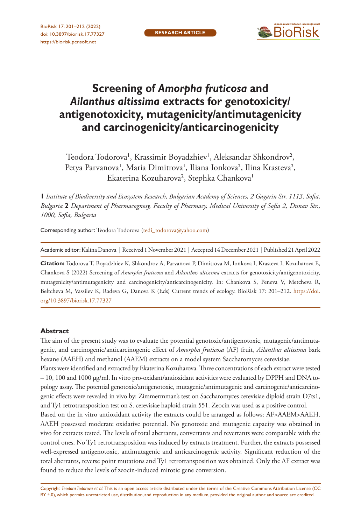

# **Screening of** *Amorpha fruticosa* **and**  *Ailanthus altissima* **extracts for genotoxicity/ antigenotoxicity, mutagenicity/antimutagenicity and carcinogenicity/anticarcinogenicity**

Teodora Todorova', Krassimir Boyadzhiev', Aleksandar Shkondrov<sup>2</sup>, Petya Parvanova', Maria Dimitrova', Iliana Ionkova<sup>2</sup>, Ilina Krasteva<sup>2</sup>, Ekaterina Kozuharova<sup>2</sup>, Stephka Chankova<sup>1</sup>

**1** *Institute of Biodiversity and Ecosystem Research, Bulgarian Academy of Sciences, 2 Gagarin Str, 1113, Sofia, Bulgaria* **2** *Department of Pharmacognosy, Faculty of Pharmacy, Medical University of Sofia 2, Dunav Str., 1000, Sofia, Bulgaria*

Corresponding author: Teodora Todorova ([tedi\\_todorova@yahoo.com\)](mailto:tedi_todorova@yahoo.com)

Academic editor: Kalina Danova | Received 1 November 2021 | Accepted 14 December 2021 | Published 21 April 2022

**Citation:** Todorova T, Boyadzhiev K, Shkondrov A, Parvanova P, Dimitrova M, Ionkova I, Krasteva I, Kozuharova E, Chankova S (2022) Screening of *Amorpha fruticosa* and *Ailanthus altissima* extracts for genotoxicity/antigenotoxicity, mutagenicity/antimutagenicity and carcinogenicity/anticarcinogenicity. In: Chankova S, Peneva V, Metcheva R, Beltcheva M, Vassilev K, Radeva G, Danova K (Eds) Current trends of ecology. BioRisk 17: 201–212. [https://doi.](https://doi.org/10.3897/biorisk.17.77327) [org/10.3897/biorisk.17.77327](https://doi.org/10.3897/biorisk.17.77327)

#### **Abstract**

The aim of the present study was to evaluate the potential genotoxic/antigenotoxic, mutagenic/antimutagenic, and carcinogenic/anticarcinogenic effect of *Amorpha fruticosa* (AF) fruit, *Ailanthus altissima* bark hexane (AAEH) and methanol (AAEM) extracts on a model system Saccharomyces cerevisiae.

Plants were identified and extracted by Ekaterina Kozuharova. Three concentrations of each extract were tested  $-10$ , 100 and 1000  $\mu$ g/ml. In vitro pro-oxidant/antioxidant activities were evaluated by DPPH and DNA topology assay. The potential genotoxic/antigenotoxic, mutagenic/antimutagenic and carcinogenic/anticarcinogenic effects were revealed in vivo by: Zimmermman's test on Saccharomyces cerevisiae diploid strain D7ts1, and Ty1 retrotransposition test on S. cerevisiae haploid strain 551. Zeocin was used as a positive control.

Based on the in vitro antioxidant activity the extracts could be arranged as follows: AF>AAEM>AAEH. AAEH possessed moderate oxidative potential. No genotoxic and mutagenic capacity was obtained in vivo for extracts tested. The levels of total aberrants, convertants and revertants were comparable with the control ones. No Ty1 retrotransposition was induced by extracts treatment. Further, the extracts possessed well-expressed antigenotoxic, antimutagenic and anticarcinogenic activity. Significant reduction of the total aberrants, reverse point mutations and Ty1 retrotransposition was obtained. Only the AF extract was found to reduce the levels of zeocin-induced mitotic gene conversion.

Copyright *Teodora Todorova et al.* This is an open access article distributed under the terms of the [Creative Commons Attribution License \(CC](http://creativecommons.org/licenses/by/4.0/)  [BY 4.0\)](http://creativecommons.org/licenses/by/4.0/), which permits unrestricted use, distribution, and reproduction in any medium, provided the original author and source are credited.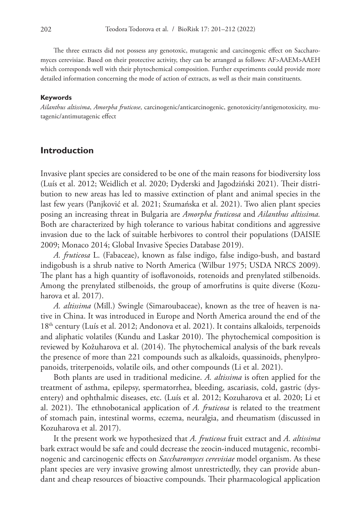The three extracts did not possess any genotoxic, mutagenic and carcinogenic effect on Saccharomyces cerevisiae. Based on their protective activity, they can be arranged as follows: AF>AAEM>AAEH which corresponds well with their phytochemical composition. Further experiments could provide more detailed information concerning the mode of action of extracts, as well as their main constituents.

#### **Keywords**

*Ailanthus altissima*, *Amorpha fruticose*, carcinogenic/anticarcinogenic, genotoxicity/antigenotoxicity, mutagenic/antimutagenic effect

#### **Introduction**

Invasive plant species are considered to be one of the main reasons for biodiversity loss (Luís et al. 2012; Weidlich et al. 2020; Dyderski and Jagodziński 2021). Their distribution to new areas has led to massive extinction of plant and animal species in the last few years (Panjković et al. 2021; Szumańska et al. 2021). Two alien plant species posing an increasing threat in Bulgaria are *Amorpha fruticosa* and *Ailanthus altissima.* Both are characterized by high tolerance to various habitat conditions and aggressive invasion due to the lack of suitable herbivores to control their populations (DAISIE 2009; Monaco 2014; Global Invasive Species Database 2019).

*A. fruticosa* L. (Fabaceae), known as false indigo, false indigo-bush, and bastard indigobush is a shrub native to North America (Wilbur 1975; USDA NRCS 2009). The plant has a high quantity of isoflavonoids, rotenoids and prenylated stilbenoids. Among the prenylated stilbenoids, the group of amorfrutins is quite diverse (Kozuharova et al. 2017).

*A. altissima* (Mill.) Swingle (Simaroubaceae), known as the tree of heaven is native in China. It was introduced in Europe and North America around the end of the 18th century (Luís et al. 2012; Andonova et al. 2021). It contains alkaloids, terpenoids and aliphatic volatiles (Kundu and Laskar 2010). The phytochemical composition is reviewed by Kožuharova et al. (2014). The phytochemical analysis of the bark reveals the presence of more than 221 compounds such as alkaloids, quassinoids, phenylpropanoids, triterpenoids, volatile oils, and other compounds (Li et al. 2021).

Both plants are used in traditional medicine. *A. altissima* is often applied for the treatment of asthma, epilepsy, spermatorrhea, bleeding, ascariasis, cold, gastric (dysentery) and ophthalmic diseases, etc. (Luís et al. 2012; Kozuharova et al. 2020; Li et al. 2021). The ethnobotanical application of *A. fruticosa* is related to the treatment of stomach pain, intestinal worms, eczema, neuralgia, and rheumatism (discussed in Kozuharova et al. 2017).

It the present work we hypothesized that *A. fruticosa* fruit extract and *A. altissima* bark extract would be safe and could decrease the zeocin-induced mutagenic, recombinogenic and carcinogenic effects on *Saccharomyces cerevisiae* model organism. As these plant species are very invasive growing almost unrestrictedly, they can provide abundant and cheap resources of bioactive compounds. Their pharmacological application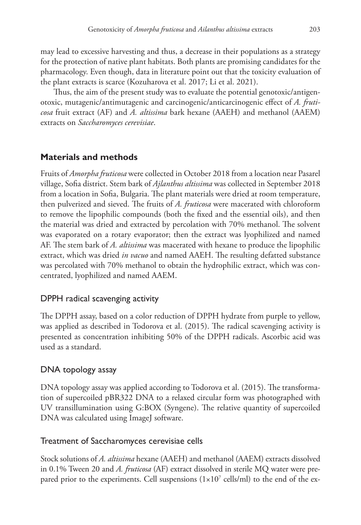may lead to excessive harvesting and thus, a decrease in their populations as a strategy for the protection of native plant habitats. Both plants are promising candidates for the pharmacology. Even though, data in literature point out that the toxicity evaluation of the plant extracts is scarce (Kozuharova et al. 2017; Li et al. 2021).

Thus, the aim of the present study was to evaluate the potential genotoxic/antigenotoxic, mutagenic/antimutagenic and carcinogenic/anticarcinogenic effect of *A. fruticosa* fruit extract (AF) and *A. altissima* bark hexane (AAEH) and methanol (AAEM) extracts on *Saccharomyces cerevisiae*.

# **Materials and methods**

Fruits of *Amorpha fruticosa* were collected in October 2018 from a location near Pasarel village, Sofia district. Stem bark of *Ajlanthus altissima* was collected in September 2018 from a location in Sofia, Bulgaria. The plant materials were dried at room temperature, then pulverized and sieved. The fruits of *A. fruticosa* were macerated with chloroform to remove the lipophilic compounds (both the fixed and the essential oils), and then the material was dried and extracted by percolation with 70% methanol. The solvent was evaporated on a rotary evaporator; then the extract was lyophilized and named AF. The stem bark of *A. altissima* was macerated with hexane to produce the lipophilic extract, which was dried *in vacuo* and named AAEH. The resulting defatted substance was percolated with 70% methanol to obtain the hydrophilic extract, which was concentrated, lyophilized and named AAEM.

# DPPH radical scavenging activity

The DPPH assay, based on a color reduction of DPPH hydrate from purple to yellow, was applied as described in Todorova et al. (2015). The radical scavenging activity is presented as concentration inhibiting 50% of the DPPH radicals. Ascorbic acid was used as a standard.

# DNA topology assay

DNA topology assay was applied according to Todorova et al. (2015). The transformation of supercoiled pBR322 DNA to a relaxed circular form was photographed with UV transillumination using G:BOX (Syngene). The relative quantity of supercoiled DNA was calculated using ImageJ software.

# Treatment of Saccharomyces cerevisiae cells

Stock solutions of *A. altissima* hexane (AAEH) and methanol (AAEM) extracts dissolved in 0.1% Tween 20 and *A. fruticosa* (AF) extract dissolved in sterile MQ water were prepared prior to the experiments. Cell suspensions  $(1 \times 10^7 \text{ cells/ml})$  to the end of the ex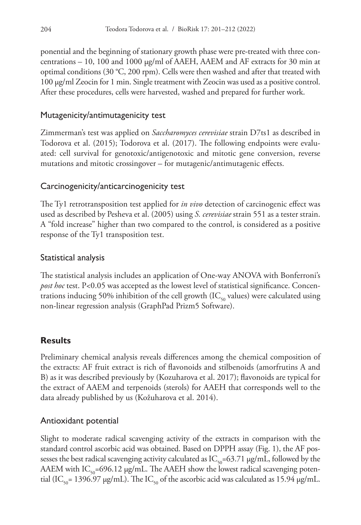ponential and the beginning of stationary growth phase were pre-treated with three concentrations – 10, 100 and 1000  $\mu$ g/ml of AAEH, AAEM and AF extracts for 30 min at optimal conditions (30 °C, 200 rpm). Cells were then washed and after that treated with 100 µg/ml Zeocin for 1 min. Single treatment with Zeocin was used as a positive control. After these procedures, cells were harvested, washed and prepared for further work.

#### Mutagenicity/antimutagenicity test

Zimmerman's test was applied on *Saccharomyces cerevisiae* strain D7ts1 as described in Todorova et al. (2015); Todorova et al. (2017). The following endpoints were evaluated: cell survival for genotoxic/antigenotoxic and mitotic gene conversion, reverse mutations and mitotic crossingover – for mutagenic/antimutagenic effects.

# Carcinogenicity/anticarcinogenicity test

The Ty1 retrotransposition test applied for *in vivo* detection of carcinogenic effect was used as described by Pesheva et al. (2005) using *S. cerevisiae* strain 551 as a tester strain. A "fold increase" higher than two compared to the control, is considered as a positive response of the Ty1 transposition test.

### Statistical analysis

The statistical analysis includes an application of One-way ANOVA with Bonferroni's *post hoc* test. P<0.05 was accepted as the lowest level of statistical significance. Concentrations inducing 50% inhibition of the cell growth  $(IC_{50}$  values) were calculated using non-linear regression analysis (GraphPad Prizm5 Software).

# **Results**

Preliminary chemical analysis reveals differences among the chemical composition of the extracts: AF fruit extract is rich of flavonoids and stilbenoids (amorfrutins A and B) as it was described previously by (Kozuharova et al. 2017); flavonoids are typical for the extract of AAEM and terpenoids (sterols) for AAEH that corresponds well to the data already published by us (Kožuharova et al. 2014).

# Antioxidant potential

Slight to moderate radical scavenging activity of the extracts in comparison with the standard control ascorbic acid was obtained. Based on DPPH assay (Fig. 1), the AF possesses the best radical scavenging activity calculated as  $IC_{50}$ =63.71 µg/mL, followed by the AAEM with  $IC_{50}$ =696.12 µg/mL. The AAEH show the lowest radical scavenging potential (IC<sub>50</sub>= 1396.97 µg/mL). The IC<sub>50</sub> of the ascorbic acid was calculated as 15.94 µg/mL.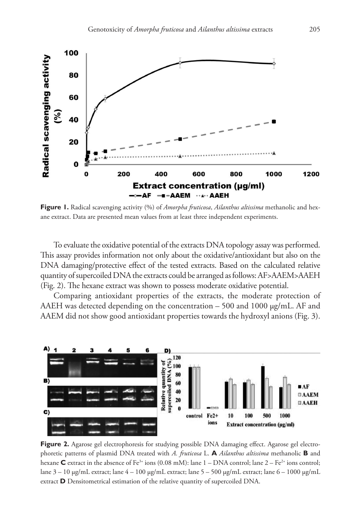

**Figure 1.** Radical scavenging activity (%) of *Amorpha fruticosa*, *Ailanthus altissima* methanolic and hexane extract. Data are presented mean values from at least three independent experiments.

To evaluate the oxidative potential of the extracts DNA topology assay was performed. This assay provides information not only about the oxidative/antioxidant but also on the DNA damaging/protective effect of the tested extracts. Based on the calculated relative quantity of supercoiled DNA the extracts could be arranged as follows: AF>AAEM>AAEH (Fig. 2). The hexane extract was shown to possess moderate oxidative potential.

Comparing antioxidant properties of the extracts, the moderate protection of AAEH was detected depending on the concentration  $-500$  and 1000  $\mu$ g/mL. AF and AAEM did not show good antioxidant properties towards the hydroxyl anions (Fig. 3).



**Figure 2.** Agarose gel electrophoresis for studying possible DNA damaging effect. Agarose gel electrophoretic patterns of plasmid DNA treated with *A. fruticosa* L. **A** *Ailanthus altissima* methanolic **B** and hexane **C** extract in the absence of Fe<sup>3+</sup> ions (0.08 mM): lane  $1 - DNA$  control; lane  $2 - Fe^{2+}$  ions control; lane  $3 - 10 \mu g/mL$  extract; lane  $4 - 100 \mu g/mL$  extract; lane  $5 - 500 \mu g/mL$  extract; lane  $6 - 1000 \mu g/mL$ extract **D** Densitometrical estimation of the relative quantity of supercoiled DNA.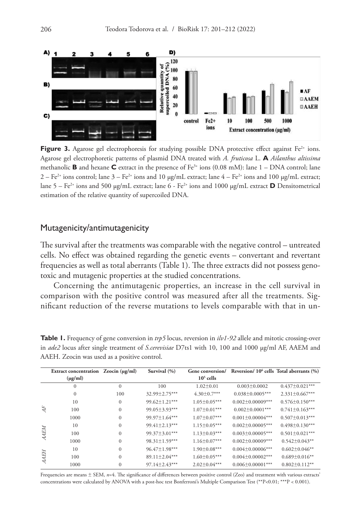

**Figure 3.** Agarose gel electrophoresis for studying possible DNA protective effect against  $Fe^{2+}$  ions. Agarose gel electrophoretic patterns of plasmid DNA treated with *A. fruticosa* L. **A** *Ailanthus altissima* methanolic **B** and hexane **C** extract in the presence of Fe<sup>3+</sup> ions (0.08 mM): lane  $1 - DNA$  control; lane  $2 - Fe^{2+}$  ions control; lane  $3 - Fe^{2+}$  ions and 10 µg/mL extract; lane  $4 - Fe^{2+}$  ions and 100 µg/mL extract; lane  $5 - \text{Fe}^{2+}$  ions and  $500 \mu\text{g/mL}$  extract; lane  $6 - \text{Fe}^{2+}$  ions and  $1000 \mu\text{g/mL}$  extract **D** Densitometrical estimation of the relative quantity of supercoiled DNA.

#### Mutagenicity/antimutagenicity

The survival after the treatments was comparable with the negative control – untreated cells. No effect was obtained regarding the genetic events – convertant and revertant frequencies as well as total aberrants (Table 1). The three extracts did not possess genotoxic and mutagenic properties at the studied concentrations.

Concerning the antimutagenic properties, an increase in the cell survival in comparison with the positive control was measured after all the treatments. Significant reduction of the reverse mutations to levels comparable with that in un-

|      | Extract concentration Zeocin (µg/ml) |          | Survival (%)        | Gene conversion/   | Reversion/ $106$ cells Total aberrants $(%)$ |                       |
|------|--------------------------------------|----------|---------------------|--------------------|----------------------------------------------|-----------------------|
|      | $(\mu g/ml)$                         |          |                     | $105$ cells        |                                              |                       |
|      | $\Omega$                             | $\Omega$ | 100                 | $1.02 \pm 0.01$    | $0.003 \pm 0.0002$                           | $0.437 \pm 0.021***$  |
| 4F   | $\Omega$                             | 100      | 32.99±2.75***       | $4.30 \pm 0.7***$  | $0.038 \pm 0.0005***$                        | $2.331\pm0.667***$    |
|      | 10                                   | $\Omega$ | $99.62 \pm 1.21***$ | $1.05 \pm 0.05***$ | $0.002 \pm 0.00009***$                       | $0.576 \pm 0.150***$  |
|      | 100                                  | $\Omega$ | $99.05 \pm 3.93***$ | $1.07 \pm 0.01***$ | $0.002 \pm 0.0001$ ***                       | $0.741 \pm 0.163$ *** |
|      | 1000                                 | $\Omega$ | 99.97±1.64***       | $1.07 \pm 0.07***$ | $0.001 + 0.00004***$                         | $0.507 \pm 0.013***$  |
| AAEM | 10                                   | $\Omega$ | $99.41 \pm 2.13***$ | $1.15\pm0.05***$   | $0.002 \pm 0.00005***$                       | $0.498 \pm 0.130***$  |
|      | 100                                  | $\Omega$ | $99.37 \pm 3.01***$ | $1.13\pm0.03***$   | $0.003 \pm 0.00005$ ***                      | $0.501 \pm 0.021***$  |
|      | 1000                                 | $\Omega$ | $98.31 \pm 1.59***$ | $1.16 \pm 0.07***$ | $0.002 \pm 0.00009***$                       | $0.542 \pm 0.043**$   |
| AAEH | 10                                   | $\Omega$ | 96.47±1.98***       | $1.90 \pm 0.08***$ | $0.004 + 0.00006***$                         | $0.602 \pm 0.046$ **  |
|      | 100                                  | $\Omega$ | $89.11 \pm 2.04***$ | $1.60 \pm 0.05***$ | $0.004 + 0.00002***$                         | $0.689 + 0.016**$     |
|      | 1000                                 | $\Omega$ | $97.14 \pm 2.43***$ | $2.02 \pm 0.04***$ | $0.006 \pm 0.00001$ ***                      | $0.802 \pm 0.112**$   |

**Table 1.** Frequency of gene conversion in *trp5* locus, reversion in *ilv1-92* allele and mitotic crossing-over in *ade2* locus after single treatment of *S.cerevisiae* D7ts1 with 10, 100 and 1000 µg/ml AF, AAEM and AAEH. Zeocin was used as a positive control.

Frequencies are means  $\pm$  SEM,  $n=4$ . The significance of differences between positive control (Zeo) and treatment with various extracts' concentrations were calculated by ANOVA with a post-hoc test Bonferroni's Multiple Comparison Test (\*\*P<0.01; \*\*\*P < 0.001).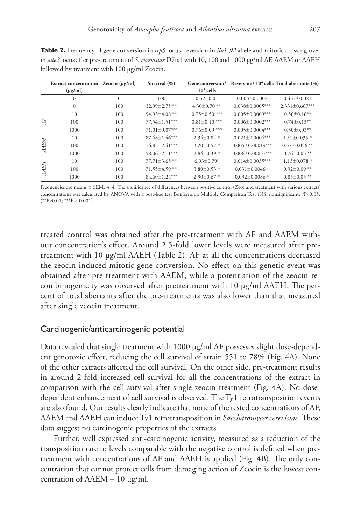|            | Extract concentration Zeocin (µg/ml) |              | Survival (%)        | Gene conversion/              |                                  | Reversion/ $106$ cells Total aberrants $(%$ |
|------------|--------------------------------------|--------------|---------------------|-------------------------------|----------------------------------|---------------------------------------------|
|            | $(\mu g/ml)$                         |              |                     | $105$ cells                   |                                  |                                             |
|            | $\mathbf{0}$                         | $\mathbf{0}$ | 100                 | $0.52 \pm 0.01$               | $0.003 \pm 0.0002$               | $0.437 \pm 0.021$                           |
|            | $\mathbf{0}$                         | 100          | 32.99±2.75***       | $4.30\pm0.70***$              | $0.038 \pm 0.0005***$            | $2.331 \pm 0.667***$                        |
| 4F         | 10                                   | 100          | $94.93 \pm 4.08***$ | $0.75 \pm 0.50$ ***           | $0.005 \pm 0.0009***$            | $0.56 \pm 0.16$ **                          |
|            | 100                                  | 100          | 77.54±1.51***       | $0.81 \pm 0.10$ ***           | $0.006 + 0.0002***$              | $0.74 \pm 0.13**$                           |
|            | 1000                                 | 100          | 71.01±9.07***       | $0.76 \pm 0.09$ ***           | $0.005 \pm 0.0004***$            | $0.50 \pm 0.03$ **                          |
| AAEM       | 10                                   | 100          | $87.68 \pm 1.46***$ | $2.34 \pm 0.84$ <sup>ns</sup> | $0.021 + 0.0006***$              | $1.51 \pm 0.035$ <sup>ns</sup>              |
|            | 100                                  | 100          | 76.83±2.41***       | $3.20 \pm 0.57$ <sup>ns</sup> | $0.005 \pm 0.00014***$           | $0.57 \pm 0.056$ **                         |
|            | 1000                                 | 100          | 58.06±2.11***       | $2.84 \pm 0.39$ <sup>ns</sup> | $0.006 \pm 0.00057***$           | $0.76 \pm 0.03$ **                          |
| <b>AEH</b> | 10                                   | 100          | $77.71 \pm 3.65***$ | $6.93 \pm 0.79*$              | $0.014 \pm 0.0035***$            | $1.13\pm0.078*$                             |
|            | 100                                  | 100          | 71.55 ± 4.59***     | $3.89 \pm 0.53$ <sup>ns</sup> | $0.031 \pm 0.0046$ <sup>ns</sup> | $0.92 \pm 0.09$ **                          |
|            | 1000                                 | 100          | $84.60 \pm 1.24***$ | $2.90 \pm 0.67$ <sup>ns</sup> | $0.032 \pm 0.0086$ <sup>ns</sup> | $0.85 \pm 0.05$ **                          |

**Table 2.** Frequency of gene conversion in *trp5* locus, reversion in *ilv1-92* allele and mitotic crossing-over in *ade2* locus after pre-treatment of *S. cerevisiae* D7ts1 with 10, 100 and 1000 µg/ml AF, AAEM or AAEH followed by treatment with 100 µg/ml Zeocin.

Frequencies are means  $\pm$  SEM,  $n=4$ . The significance of differences between positive control (Zeo) and treatment with various extracts' concentrations was calculated by ANOVA with a post-hoc test Bonferroni's Multiple Comparison Test (NS: nonsignificant; \*P<0.05;  $(*p<0.01; **P < 0.001).$ 

treated control was obtained after the pre-treatment with AF and AAEM without concentration's effect. Around 2.5-fold lower levels were measured after pretreatment with 10 µg/ml AAEH (Table 2). AF at all the concentrations decreased the zeocin-induced mitotic gene conversion. No effect on this genetic event was obtained after pre-treatment with AAEM, while a potentiation of the zeocin recombinogenicity was observed after pretreatment with 10 µg/ml AAEH. The percent of total aberrants after the pre-treatments was also lower than that measured after single zeocin treatment.

#### Carcinogenic/anticarcinogenic potential

Data revealed that single treatment with 1000 µg/ml AF possesses slight dose-dependent genotoxic effect, reducing the cell survival of strain 551 to 78% (Fig. 4A). None of the other extracts affected the cell survival. On the other side, pre-treatment results in around 2-fold increased cell survival for all the concentrations of the extract in comparison with the cell survival after single zeocin treatment (Fig. 4A). No dosedependent enhancement of cell survival is observed. The Ty1 retrotransposition events are also found. Our results clearly indicate that none of the tested concentrations of AF, AAEM and AAEH can induce Ty1 retrotransposition in *Saccharomyces cerevisiae*. These data suggest no carcinogenic properties of the extracts.

Further, well expressed anti-carcinogenic activity, measured as a reduction of the transposition rate to levels comparable with the negative control is defined when pretreatment with concentrations of AF and AAEH is applied (Fig. 4B). The only concentration that cannot protect cells from damaging action of Zeocin is the lowest concentration of  $A AEM - 10 \mu g/ml$ .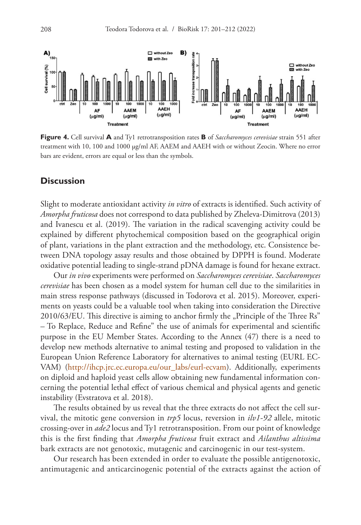

**Figure 4.** Cell survival **A** and Ty1 retrotransposition rates **B** of *Saccharomyces cerevisiae* strain 551 after treatment with 10, 100 and 1000 µg/ml AF, AAEM and AAEH with or without Zeocin. Where no error bars are evident, errors are equal or less than the symbols.

#### **Discussion**

Slight to moderate antioxidant activity *in vitro* of extracts is identified. Such activity of *Amorpha fruticosa* does not correspond to data published by Zheleva-Dimitrova (2013) and Ivanescu et al. (2019). The variation in the radical scavenging activity could be explained by different phytochemical composition based on the geographical origin of plant, variations in the plant extraction and the methodology, etc. Consistence between DNA topology assay results and those obtained by DPPH is found. Moderate oxidative potential leading to single-strand pDNA damage is found for hexane extract.

Our *in vivo* experiments were performed on *Saccharomyces cerevisiae*. *Saccharomyces cerevisiae* has been chosen as a model system for human cell due to the similarities in main stress response pathways (discussed in Todorova et al. 2015). Moreover, experiments on yeasts could be a valuable tool when taking into consideration the Directive  $2010/63/EU$ . This directive is aiming to anchor firmly the "Principle of the Three Rs" – To Replace, Reduce and Refine" the use of animals for experimental and scientific purpose in the EU Member States. According to the Annex (47) there is a need to develop new methods alternative to animal testing and proposed to validation in the European Union Reference Laboratory for alternatives to animal testing (EURL EC-VAM) ([http://ihcp.jrc.ec.europa.eu/our\\_labs/eurl-ecvam](http://ihcp.jrc.ec.europa.eu/our_labs/eurl-ecvam)). Additionally, experiments on diploid and haploid yeast cells allow obtaining new fundamental information concerning the potential lethal effect of various chemical and physical agents and genetic instability (Evstratova et al. 2018).

The results obtained by us reveal that the three extracts do not affect the cell survival, the mitotic gene conversion in *trp5* locus, reversion in *ilv1-92* allele, mitotic crossing-over in *ade2* locus and Ty1 retrotransposition. From our point of knowledge this is the first finding that *Amorpha fruticosa* fruit extract and *Ailanthus altissima* bark extracts are not genotoxic, mutagenic and carcinogenic in our test-system.

Our research has been extended in order to evaluate the possible antigenotoxic, antimutagenic and anticarcinogenic potential of the extracts against the action of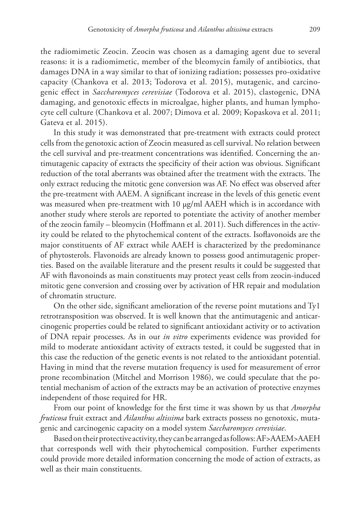the radiomimetic Zeocin. Zeocin was chosen as a damaging agent due to several reasons: it is a radiomimetic, member of the bleomycin family of antibiotics, that damages DNA in a way similar to that of ionizing radiation; possesses pro-oxidative capacity (Chankova et al. 2013; Todorova et al. 2015), mutagenic, and carcinogenic effect in *Saccharomyces cerevisiae* (Todorova et al. 2015), clastogenic, DNA damaging, and genotoxic effects in microalgae, higher plants, and human lymphocyte cell culture (Chankova et al. 2007; Dimova et al. 2009; Kopaskova et al. 2011; Gateva et al. 2015).

In this study it was demonstrated that pre-treatment with extracts could protect cells from the genotoxic action of Zeocin measured as cell survival. No relation between the cell survival and pre-treatment concentrations was identified. Concerning the antimutagenic capacity of extracts the specificity of their action was obvious. Significant reduction of the total aberrants was obtained after the treatment with the extracts. The only extract reducing the mitotic gene conversion was AF. No effect was observed after the pre-treatment with AAEM. A significant increase in the levels of this genetic event was measured when pre-treatment with 10  $\mu$ g/ml AAEH which is in accordance with another study where sterols are reported to potentiate the activity of another member of the zeocin family – bleomycin (Hoffmann et al. 2011). Such differences in the activity could be related to the phytochemical content of the extracts. Isoflavonoids are the major constituents of AF extract while AAEH is characterized by the predominance of phytosterols. Flavonoids are already known to possess good antimutagenic properties. Based on the available literature and the present results it could be suggested that AF with flavonoinds as main constituents may protect yeast cells from zeocin-induced mitotic gene conversion and crossing over by activation of HR repair and modulation of chromatin structure.

On the other side, significant amelioration of the reverse point mutations and Ty1 retrotransposition was observed. It is well known that the antimutagenic and anticarcinogenic properties could be related to significant antioxidant activity or to activation of DNA repair processes. As in our *in vitro* experiments evidence was provided for mild to moderate antioxidant activity of extracts tested, it could be suggested that in this case the reduction of the genetic events is not related to the antioxidant potential. Having in mind that the reverse mutation frequency is used for measurement of error prone recombination (Mitchel and Morrison 1986), we could speculate that the potential mechanism of action of the extracts may be an activation of protective enzymes independent of those required for HR.

From our point of knowledge for the first time it was shown by us that *Amorpha fruticosa* fruit extract and *Ailanthus altissima* bark extracts possess no genotoxic, mutagenic and carcinogenic capacity on a model system *Saccharomyces cerevisiae*.

Based on their protective activity, they can be arranged as follows: AF>AAEM>AAEH that corresponds well with their phytochemical composition. Further experiments could provide more detailed information concerning the mode of action of extracts, as well as their main constituents.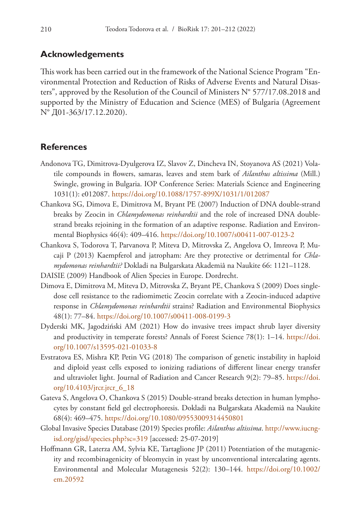#### **Acknowledgements**

This work has been carried out in the framework of the National Science Program "Environmental Protection and Reduction of Risks of Adverse Events and Natural Disasters", approved by the Resolution of the Council of Ministers N° 577/17.08.2018 and supported by the Ministry of Education and Science (MES) of Bulgaria (Agreement N° Д01-363/17.12.2020).

#### **References**

- Andonova TG, Dimitrova-Dyulgerova IZ, Slavov Z, Dincheva IN, Stoyanova AS (2021) Volatile compounds in flowers, samaras, leaves and stem bark of *Ailanthus altissima* (Mill.) Swingle, growing in Bulgaria. IOP Conference Series: Materials Science and Engineering 1031(1): e012087. <https://doi.org/10.1088/1757-899X/1031/1/012087>
- Chankova SG, Dimova E, Dimitrova M, Bryant PE (2007) Induction of DNA double-strand breaks by Zeocin in *Chlamydomonas reinhardtii* and the role of increased DNA doublestrand breaks rejoining in the formation of an adaptive response. Radiation and Environmental Biophysics 46(4): 409–416.<https://doi.org/10.1007/s00411-007-0123-2>
- Chankova S, Todorova T, Parvanova P, Miteva D, Mitrovska Z, Angelova O, Imreova P, Mucaji P (2013) Kaempferol and jatropham: Are they protective or detrimental for *Chlamydomonas reinhardtii?* Dokladi na Bulgarskata Akademiâ na Naukite 66: 1121–1128.
- DAISIE (2009) Handbook of Alien Species in Europe. Dordrecht.
- Dimova E, Dimitrova M, Miteva D, Mitrovska Z, Bryant PE, Chankova S (2009) Does singledose cell resistance to the radiomimetic Zeocin correlate with a Zeocin-induced adaptive response in *Chlamydomonas reinhardtii* strains? Radiation and Environmental Biophysics 48(1): 77–84. <https://doi.org/10.1007/s00411-008-0199-3>
- Dyderski MK, Jagodziński AM (2021) How do invasive trees impact shrub layer diversity and productivity in temperate forests? Annals of Forest Science  $78(1)$ :  $1-14$ . [https://doi.](https://doi.org/10.1007/s13595-021-01033-8) [org/10.1007/s13595-021-01033-8](https://doi.org/10.1007/s13595-021-01033-8)
- Evstratova ES, Mishra KP, Petin VG (2018) The comparison of genetic instability in haploid and diploid yeast cells exposed to ionizing radiations of different linear energy transfer and ultraviolet light. Journal of Radiation and Cancer Research 9(2): 79–85. [https://doi.](https://doi.org/10.4103/jrcr.jrcr_6_18) [org/10.4103/jrcr.jrcr\\_6\\_18](https://doi.org/10.4103/jrcr.jrcr_6_18)
- Gateva S, Angelova O, Chankova S (2015) Double-strand breaks detection in human lymphocytes by constant field gel electrophoresis. Dokladi na Bulgarskata Akademiâ na Naukite 68(4): 469–475. <https://doi.org/10.1080/09553009314450801>
- Global Invasive Species Database (2019) Species profile: *Ailanthus altissima*. [http://www.iucng](http://www.iucngisd.org/gisd/species.php?sc=319)[isd.org/gisd/species.php?sc=319](http://www.iucngisd.org/gisd/species.php?sc=319) [accessed: 25-07-2019]
- Hoffmann GR, Laterza AM, Sylvia KE, Tartaglione JP (2011) Potentiation of the mutagenicity and recombinagenicity of bleomycin in yeast by unconventional intercalating agents. Environmental and Molecular Mutagenesis 52(2): 130–144. [https://doi.org/10.1002/](https://doi.org/10.1002/em.20592) [em.20592](https://doi.org/10.1002/em.20592)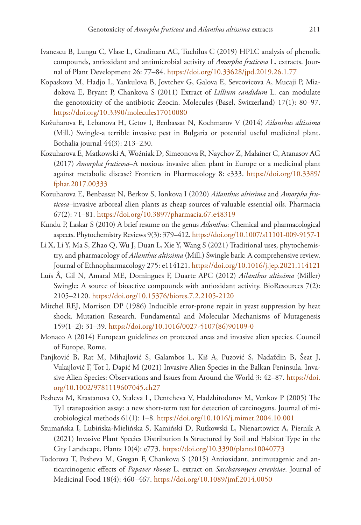- Ivanescu B, Lungu C, Vlase L, Gradinaru AC, Tuchilus C (2019) HPLC analysis of phenolic compounds, antioxidant and antimicrobial activity of *Amorpha fruticosa* L. extracts. Journal of Plant Development 26: 77–84. <https://doi.org/10.33628/jpd.2019.26.1.77>
- Kopaskova M, Hadjo L, Yankulova B, Jovtchev G, Galova E, Sevcovicova A, Mucaji P, Miadokova E, Bryant P, Chankova S (2011) Extract of *Lillium candidum* L. can modulate the genotoxicity of the antibiotic Zeocin. Molecules (Basel, Switzerland) 17(1): 80–97. <https://doi.org/10.3390/molecules17010080>
- Kožuharova E, Lebanova H, Getov I, Benbassat N, Kochmarov V (2014) *Ailanthus altissima* (Mill.) Swingle-a terrible invasive pest in Bulgaria or potential useful medicinal plant. Bothalia journal 44(3): 213–230.
- Kozuharova E, Matkowski A, Woźniak D, Simeonova R, Naychov Z, Malainer C, Atanasov AG (2017) *Amorpha fruticosa*–A noxious invasive alien plant in Europe or a medicinal plant against metabolic disease? Frontiers in Pharmacology 8: e333. [https://doi.org/10.3389/](https://doi.org/10.3389/fphar.2017.00333) [fphar.2017.00333](https://doi.org/10.3389/fphar.2017.00333)
- Kozuharova E, Benbassat N, Berkov S, Ionkova I (2020) *Ailanthus altissima* and *Amorpha fruticosa*–invasive arboreal alien plants as cheap sources of valuable essential oils. Pharmacia 67(2): 71–81. <https://doi.org/10.3897/pharmacia.67.e48319>
- Kundu P, Laskar S (2010) A brief resume on the genus *Ailanthus*: Chemical and pharmacological aspects. Phytochemistry Reviews 9(3): 379–412.<https://doi.org/10.1007/s11101-009-9157-1>
- Li X, Li Y, Ma S, Zhao Q, Wu J, Duan L, Xie Y, Wang S (2021) Traditional uses, phytochemistry, and pharmacology of *Ailanthus altissima* (Mill.) Swingle bark: A comprehensive review. Journal of Ethnopharmacology 275: e114121. <https://doi.org/10.1016/j.jep.2021.114121>
- Luís Â, Gil N, Amaral ME, Domingues F, Duarte APC (2012) *Ailanthus altissima* (Miller) Swingle: A source of bioactive compounds with antioxidant activity. BioResources 7(2): 2105–2120.<https://doi.org/10.15376/biores.7.2.2105-2120>
- Mitchel REJ, Morrison DP (1986) Inducible error-prone repair in yeast suppression by heat shock. Mutation Research. Fundamental and Molecular Mechanisms of Mutagenesis 159(1–2): 31–39. [https://doi.org/10.1016/0027-5107\(86\)90109-0](https://doi.org/10.1016/0027-5107(86)90109-0)
- Monaco A (2014) European guidelines on protected areas and invasive alien species. Council of Europe, Rome.
- Panjković B, Rat M, Mihajlović S, Galambos L, Kiš A, Puzović S, Nadaždin B, Šeat J, Vukajlović F, Tot I, Đapić M (2021) Invasive Alien Species in the Balkan Peninsula. Invasive Alien Species: Observations and Issues from Around the World 3: 42–87. [https://doi.](https://doi.org/10.1002/9781119607045.ch27) [org/10.1002/9781119607045.ch27](https://doi.org/10.1002/9781119607045.ch27)
- Pesheva M, Krastanova O, Staleva L, Dentcheva V, Hadzhitodorov M, Venkov P (2005) The Ty1 transposition assay: a new short-term test for detection of carcinogens. Journal of microbiological methods 61(1): 1–8.<https://doi.org/10.1016/j.mimet.2004.10.001>
- Szumańska I, Lubińska-Mielińska S, Kamiński D, Rutkowski L, Nienartowicz A, Piernik A (2021) Invasive Plant Species Distribution Is Structured by Soil and Habitat Type in the City Landscape. Plants 10(4): e773.<https://doi.org/10.3390/plants10040773>
- Todorova T, Pesheva M, Gregan F, Chankova S (2015) Antioxidant, antimutagenic and anticarcinogenic effects of *Papaver rhoeas* L. extract on *Saccharomyces cerevisiae*. Journal of Medicinal Food 18(4): 460–467. <https://doi.org/10.1089/jmf.2014.0050>